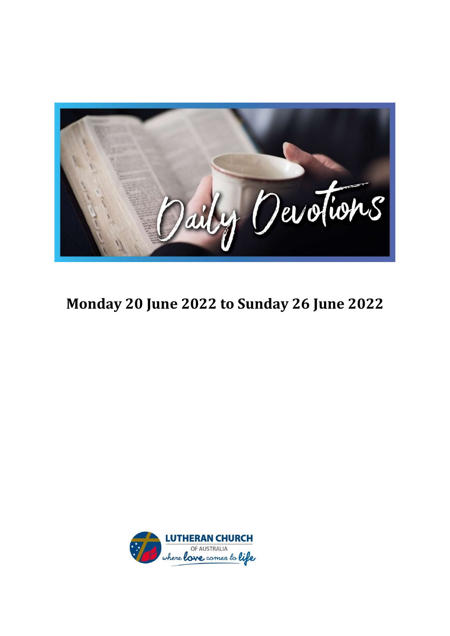

### Monday 20 June 2022 to Sunday 26 June 2022

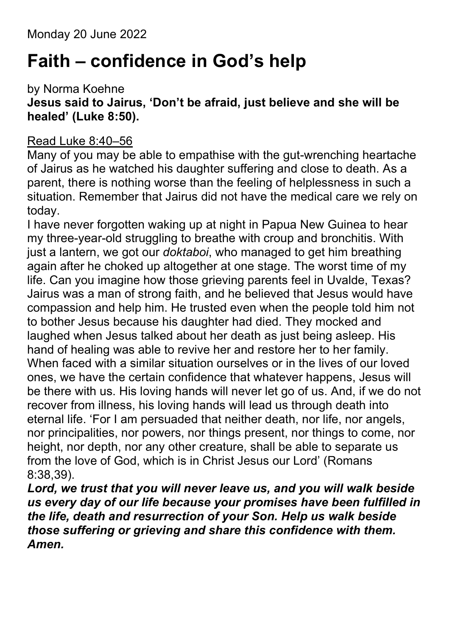Monday 20 June 2022

### Faith – confidence in God's help

by Norma Koehne

### Jesus said to Jairus, 'Don't be afraid, just believe and she will be healed' (Luke 8:50).

### Read Luke 8:40–56

Many of you may be able to empathise with the gut-wrenching heartache of Jairus as he watched his daughter suffering and close to death. As a parent, there is nothing worse than the feeling of helplessness in such a situation. Remember that Jairus did not have the medical care we rely on today.

I have never forgotten waking up at night in Papua New Guinea to hear my three-year-old struggling to breathe with croup and bronchitis. With just a lantern, we got our *doktaboi*, who managed to get him breathing again after he choked up altogether at one stage. The worst time of my life. Can you imagine how those grieving parents feel in Uvalde, Texas? Jairus was a man of strong faith, and he believed that Jesus would have compassion and help him. He trusted even when the people told him not to bother Jesus because his daughter had died. They mocked and laughed when Jesus talked about her death as just being asleep. His hand of healing was able to revive her and restore her to her family. When faced with a similar situation ourselves or in the lives of our loved ones, we have the certain confidence that whatever happens, Jesus will be there with us. His loving hands will never let go of us. And, if we do not recover from illness, his loving hands will lead us through death into eternal life. 'For I am persuaded that neither death, nor life, nor angels, nor principalities, nor powers, nor things present, nor things to come, nor height, nor depth, nor any other creature, shall be able to separate us from the love of God, which is in Christ Jesus our Lord' (Romans 8:38,39).

Lord, we trust that you will never leave us, and you will walk beside us every day of our life because your promises have been fulfilled in the life, death and resurrection of your Son. Help us walk beside those suffering or grieving and share this confidence with them. Amen.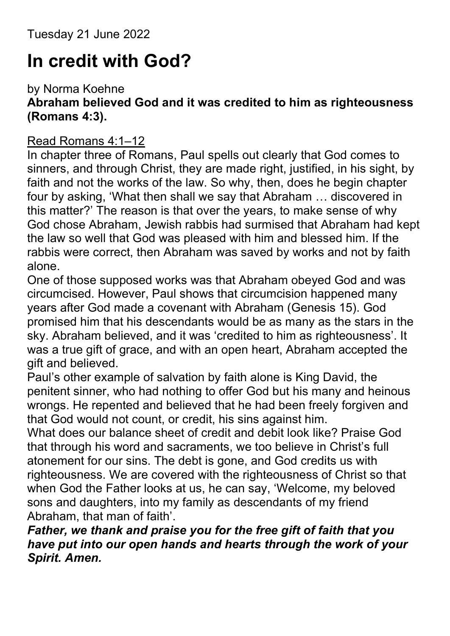### In credit with God?

#### by Norma Koehne Abraham believed God and it was credited to him as righteousness (Romans 4:3).

### Read Romans 4:1–12

In chapter three of Romans, Paul spells out clearly that God comes to sinners, and through Christ, they are made right, justified, in his sight, by faith and not the works of the law. So why, then, does he begin chapter four by asking, 'What then shall we say that Abraham … discovered in this matter?' The reason is that over the years, to make sense of why God chose Abraham, Jewish rabbis had surmised that Abraham had kept the law so well that God was pleased with him and blessed him. If the rabbis were correct, then Abraham was saved by works and not by faith alone.

One of those supposed works was that Abraham obeyed God and was circumcised. However, Paul shows that circumcision happened many years after God made a covenant with Abraham (Genesis 15). God promised him that his descendants would be as many as the stars in the sky. Abraham believed, and it was 'credited to him as righteousness'. It was a true gift of grace, and with an open heart, Abraham accepted the gift and believed.

Paul's other example of salvation by faith alone is King David, the penitent sinner, who had nothing to offer God but his many and heinous wrongs. He repented and believed that he had been freely forgiven and that God would not count, or credit, his sins against him.

What does our balance sheet of credit and debit look like? Praise God that through his word and sacraments, we too believe in Christ's full atonement for our sins. The debt is gone, and God credits us with righteousness. We are covered with the righteousness of Christ so that when God the Father looks at us, he can say, 'Welcome, my beloved sons and daughters, into my family as descendants of my friend Abraham, that man of faith'.

Father, we thank and praise you for the free gift of faith that you have put into our open hands and hearts through the work of your Spirit. Amen.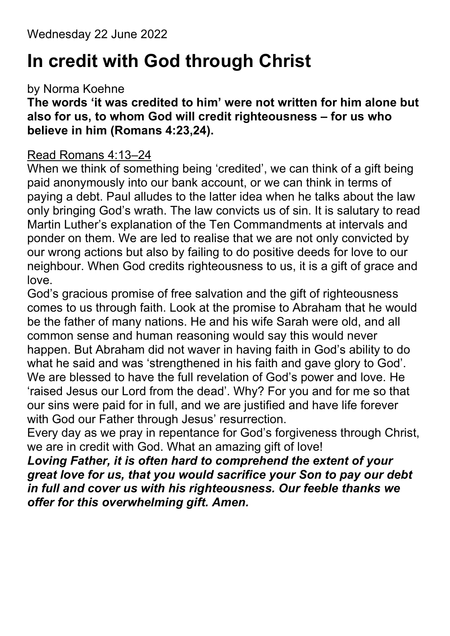## In credit with God through Christ

by Norma Koehne

### The words 'it was credited to him' were not written for him alone but also for us, to whom God will credit righteousness – for us who believe in him (Romans 4:23,24).

#### Read Romans 4:13–24

When we think of something being 'credited', we can think of a gift being paid anonymously into our bank account, or we can think in terms of paying a debt. Paul alludes to the latter idea when he talks about the law only bringing God's wrath. The law convicts us of sin. It is salutary to read Martin Luther's explanation of the Ten Commandments at intervals and ponder on them. We are led to realise that we are not only convicted by our wrong actions but also by failing to do positive deeds for love to our neighbour. When God credits righteousness to us, it is a gift of grace and love.

God's gracious promise of free salvation and the gift of righteousness comes to us through faith. Look at the promise to Abraham that he would be the father of many nations. He and his wife Sarah were old, and all common sense and human reasoning would say this would never happen. But Abraham did not waver in having faith in God's ability to do what he said and was 'strengthened in his faith and gave glory to God'. We are blessed to have the full revelation of God's power and love. He 'raised Jesus our Lord from the dead'. Why? For you and for me so that our sins were paid for in full, and we are justified and have life forever with God our Father through Jesus' resurrection.

Every day as we pray in repentance for God's forgiveness through Christ, we are in credit with God. What an amazing gift of love!

Loving Father, it is often hard to comprehend the extent of your great love for us, that you would sacrifice your Son to pay our debt in full and cover us with his righteousness. Our feeble thanks we offer for this overwhelming gift. Amen.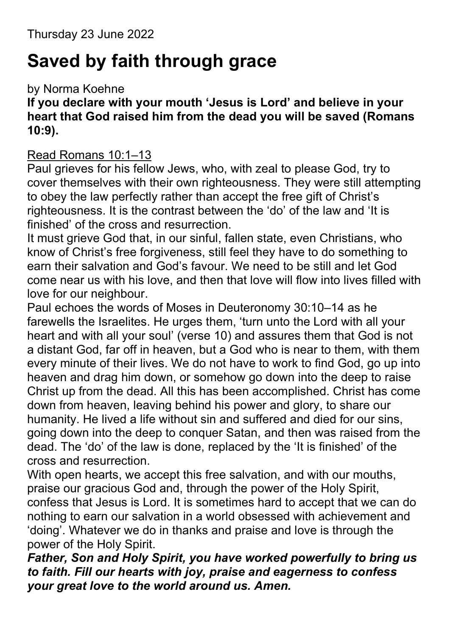## Saved by faith through grace

by Norma Koehne

If you declare with your mouth 'Jesus is Lord' and believe in your heart that God raised him from the dead you will be saved (Romans 10:9).

### Read Romans 10:1–13

Paul grieves for his fellow Jews, who, with zeal to please God, try to cover themselves with their own righteousness. They were still attempting to obey the law perfectly rather than accept the free gift of Christ's righteousness. It is the contrast between the 'do' of the law and 'It is finished' of the cross and resurrection.

It must grieve God that, in our sinful, fallen state, even Christians, who know of Christ's free forgiveness, still feel they have to do something to earn their salvation and God's favour. We need to be still and let God come near us with his love, and then that love will flow into lives filled with love for our neighbour.

Paul echoes the words of Moses in Deuteronomy 30:10–14 as he farewells the Israelites. He urges them, 'turn unto the Lord with all your heart and with all your soul' (verse 10) and assures them that God is not a distant God, far off in heaven, but a God who is near to them, with them every minute of their lives. We do not have to work to find God, go up into heaven and drag him down, or somehow go down into the deep to raise Christ up from the dead. All this has been accomplished. Christ has come down from heaven, leaving behind his power and glory, to share our humanity. He lived a life without sin and suffered and died for our sins, going down into the deep to conquer Satan, and then was raised from the dead. The 'do' of the law is done, replaced by the 'It is finished' of the cross and resurrection.

With open hearts, we accept this free salvation, and with our mouths, praise our gracious God and, through the power of the Holy Spirit, confess that Jesus is Lord. It is sometimes hard to accept that we can do nothing to earn our salvation in a world obsessed with achievement and 'doing'. Whatever we do in thanks and praise and love is through the power of the Holy Spirit.

Father, Son and Holy Spirit, you have worked powerfully to bring us to faith. Fill our hearts with joy, praise and eagerness to confess your great love to the world around us. Amen.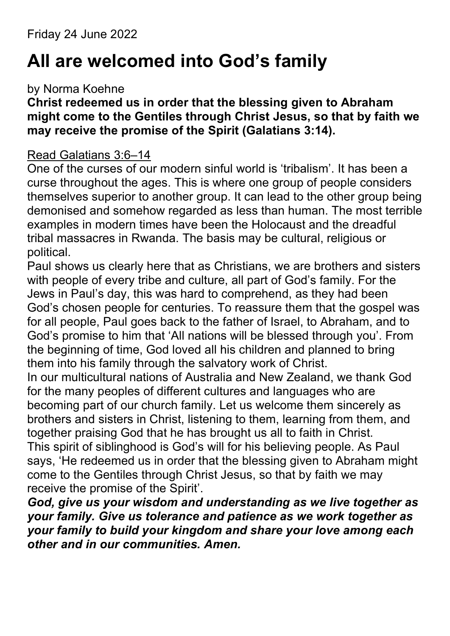# All are welcomed into God's family

### by Norma Koehne

### Christ redeemed us in order that the blessing given to Abraham might come to the Gentiles through Christ Jesus, so that by faith we may receive the promise of the Spirit (Galatians 3:14).

### Read Galatians 3:6–14

One of the curses of our modern sinful world is 'tribalism'. It has been a curse throughout the ages. This is where one group of people considers themselves superior to another group. It can lead to the other group being demonised and somehow regarded as less than human. The most terrible examples in modern times have been the Holocaust and the dreadful tribal massacres in Rwanda. The basis may be cultural, religious or political.

Paul shows us clearly here that as Christians, we are brothers and sisters with people of every tribe and culture, all part of God's family. For the Jews in Paul's day, this was hard to comprehend, as they had been God's chosen people for centuries. To reassure them that the gospel was for all people, Paul goes back to the father of Israel, to Abraham, and to God's promise to him that 'All nations will be blessed through you'. From the beginning of time, God loved all his children and planned to bring them into his family through the salvatory work of Christ.

In our multicultural nations of Australia and New Zealand, we thank God for the many peoples of different cultures and languages who are becoming part of our church family. Let us welcome them sincerely as brothers and sisters in Christ, listening to them, learning from them, and together praising God that he has brought us all to faith in Christ. This spirit of siblinghood is God's will for his believing people. As Paul says, 'He redeemed us in order that the blessing given to Abraham might come to the Gentiles through Christ Jesus, so that by faith we may receive the promise of the Spirit'.

God, give us your wisdom and understanding as we live together as your family. Give us tolerance and patience as we work together as your family to build your kingdom and share your love among each other and in our communities. Amen.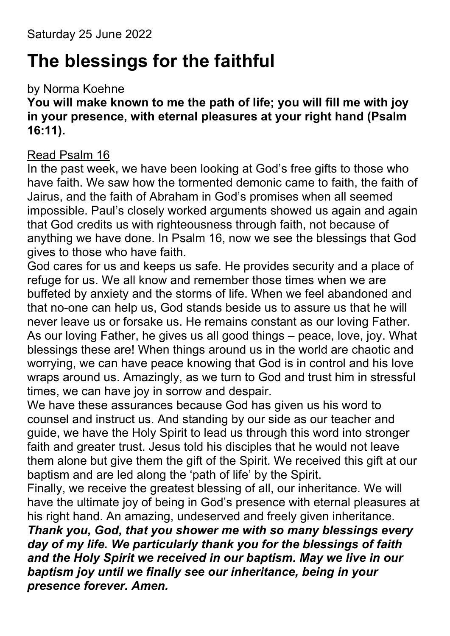# The blessings for the faithful

### by Norma Koehne

### You will make known to me the path of life; you will fill me with joy in your presence, with eternal pleasures at your right hand (Psalm 16:11).

#### Read Psalm 16

In the past week, we have been looking at God's free gifts to those who have faith. We saw how the tormented demonic came to faith, the faith of Jairus, and the faith of Abraham in God's promises when all seemed impossible. Paul's closely worked arguments showed us again and again that God credits us with righteousness through faith, not because of anything we have done. In Psalm 16, now we see the blessings that God gives to those who have faith.

God cares for us and keeps us safe. He provides security and a place of refuge for us. We all know and remember those times when we are buffeted by anxiety and the storms of life. When we feel abandoned and that no-one can help us, God stands beside us to assure us that he will never leave us or forsake us. He remains constant as our loving Father. As our loving Father, he gives us all good things – peace, love, joy. What blessings these are! When things around us in the world are chaotic and worrying, we can have peace knowing that God is in control and his love wraps around us. Amazingly, as we turn to God and trust him in stressful times, we can have joy in sorrow and despair.

We have these assurances because God has given us his word to counsel and instruct us. And standing by our side as our teacher and guide, we have the Holy Spirit to lead us through this word into stronger faith and greater trust. Jesus told his disciples that he would not leave them alone but give them the gift of the Spirit. We received this gift at our baptism and are led along the 'path of life' by the Spirit.

Finally, we receive the greatest blessing of all, our inheritance. We will have the ultimate joy of being in God's presence with eternal pleasures at his right hand. An amazing, undeserved and freely given inheritance.

Thank you, God, that you shower me with so many blessings every day of my life. We particularly thank you for the blessings of faith and the Holy Spirit we received in our baptism. May we live in our baptism joy until we finally see our inheritance, being in your presence forever. Amen.